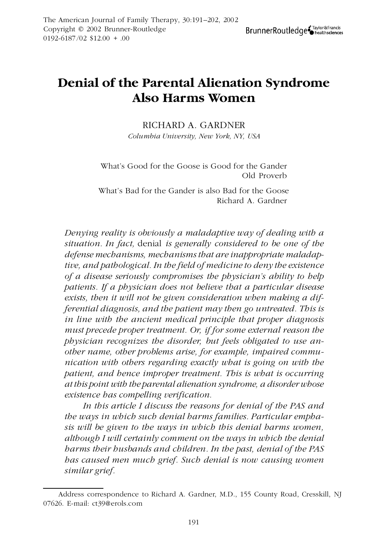# **Denial of the Parental Alienation Syndrome Also Harms Women**

### RICHARD A. GARDNER

*Columbia University, New York, NY, USA*

What's Good for the Goose is Good for the Gander Old Proverb

What's Bad for the Gander is also Bad for the Goose Richard A. Gardner

*Denying reality is obviously a maladaptive way of dealing with a situation. In fact,* denial *is generally considered to be one of the defense mechanisms, mechanisms that are inappropriate maladaptive, and pathological. In the field of medicine to deny the existence of a disease seriously compromises the physician's ability to help patients. If a physician does not believe that a particular disease exists, then it will not be given consideration when making a differential diagnosis, and the patient may then go untreated. This is in line with the ancient medical principle that proper diagnosis must precede proper treatment. Or, if for some external reason the physician recognizes the disorder, but feels obligated to use an other name, other problems arise, for example, impaired commu nication with others regarding exactly what is going on with the patient, and hence improper treatment. This is what is occurring at this point with the parental alienation syndrome, a disorder whose existence has compelling verification.*

*In this article I discuss the reasons for denial of the PAS and the ways in which such denial harms families. Particular emphasis will be given to the ways in which this denial harms women, although I will certainly comment on the ways in which the denial harms their husbands and children. In the past, denial of the PAS has caused men much grief. Such denial is now causing women similar grief.*

Address correspondence to Richard A. Gardner, M.D., 155 County Road, Cresskill, NJ 07626. E-mail: ct39@erols.com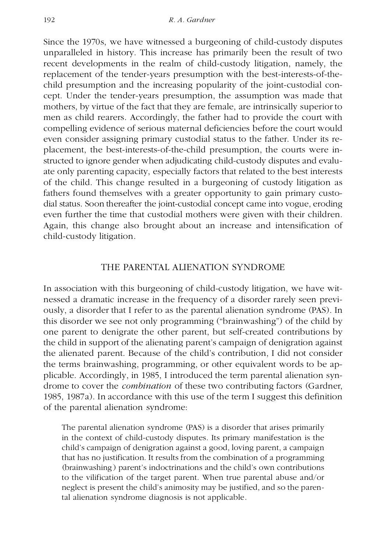Since the 1970s, we have witnessed a burgeoning of child-custody disputes unparalleled in history. This increase has primarily been the result of two recent developments in the realm of child-custody litigation, namely, the replacement of the tender-years presumption with the best-interests-of-the child presumption and the increasing popularity of the joint-custodial con cept. Under the tender-years presumption, the assumption was made that mothers, by virtue of the fact that they are female, are intrinsically superior to men as child rearers. Accordingly, the father had to provide the court with compelling evidence of serious maternal deficiencies before the court would even consider assigning primary custodial status to the father. Under its re placement, the best-interests-of-the-child presumption, the courts were in structed to ignore gender when adjudicating child-custody disputes and evalu ate only parenting capacity, especially factors that related to the best interests of the child. This change resulted in a burgeoning of custody litigation as fathers found themselves with a greater opportunity to gain primary custo dial status. Soon thereafter the joint-custodial concept came into vogue, eroding even further the time that custodial mothers were given with their children. Again, this change also brought about an increase and intensification of child-custody litigation.

### THE PARENTAL ALIENATION SYNDROME

In association with this burgeoning of child-custody litigation, we have wit nessed a dramatic increase in the frequency of a disorder rarely seen previ ously, a disorder that I refer to as the parental alienation syndrome (PAS). In this disorder we see not only programming ("brainwashing") of the child by one parent to denigrate the other parent, but self-created contributions by the child in support of the alienating parent's campaign of denigration against the alienated parent. Because of the child's contribution, I did not consider the terms brainwashing, programming, or other equivalent words to be ap plicable. Accordingly, in 1985, I introduced the term parental alienation syn drome to cover the *combination* of these two contributing factors (Gardner, 1985, 1987a). In accordance with this use of the term I suggest this definition of the parental alienation syndrome:

The parental alienation syndrome (PAS) is a disorder that arises primarily in the context of child-custody disputes. Its primary manifestation is the child's campaign of denigration against a good, loving parent, a campaign that has no justification. It results from the combination of a programming (brainwashing) parent's indoctrinations and the child's own contributions to the vilification of the target parent. When true parental abuse and/or neglect is present the child's animosity may be justified, and so the parental alienation syndrome diagnosis is not applicable.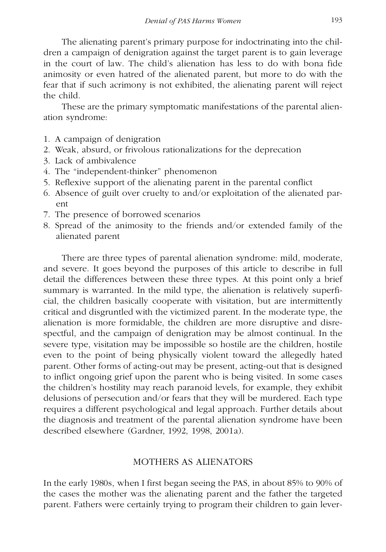The alienating parent's primary purpose for indoctrinating into the chil dren a campaign of denigration against the target parent is to gain leverage in the court of law. The child's alienation has less to do with bona fide animosity or even hatred of the alienated parent, but more to do with the fear that if such acrimony is not exhibited, the alienating parent will reject the child.

These are the primary symptomatic manifestations of the parental alien ation syndrome:

- 1. A campaign of denigration
- 2. Weak, absurd, or frivolous rationalizations for the deprecation
- 3. Lack of ambivalence
- 4. The "independent-thinker" phenomenon
- 5. Reflexive support of the alienating parent in the parental conflict
- 6. Absence of guilt over cruelty to and/or exploitation of the alienated par ent
- 7. The presence of borrowed scenarios
- 8. Spread of the animosity to the friends and/or extended family of the alienated parent

There are three types of parental alienation syndrome: mild, moderate, and severe. It goes beyond the purposes of this article to describe in full detail the differences between these three types. At this point only a brief summary is warranted. In the mild type, the alienation is relatively superfi cial, the children basically cooperate with visitation, but are intermittently critical and disgruntled with the victimized parent. In the moderate type, the alienation is more formidable, the children are more disruptive and disre spectful, and the campaign of denigration may be almost continual. In the severe type, visitation may be impossible so hostile are the children, hostile even to the point of being physically violent toward the allegedly hated parent. Other forms of acting-out may be present, acting-out that is designed to inflict ongoing grief upon the parent who is being visited. In some cases the children's hostility may reach paranoid levels, for example, they exhibit delusions of persecution and/or fears that they will be murdered. Each type requires a different psychological and legal approach. Further details about the diagnosis and treatment of the parental alienation syndrome have been described elsewhere (Gardner, 1992, 1998, 2001a).

### MOTHERS AS ALIENATORS

In the early 1980s, when I first began seeing the PAS, in about 85% to 90% of the cases the mother was the alienating parent and the father the targeted parent. Fathers were certainly trying to program their children to gain lever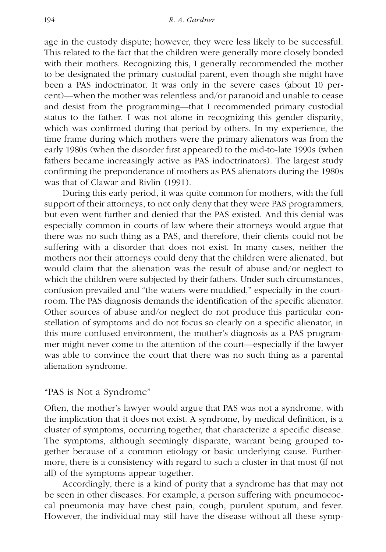age in the custody dispute; however, they were less likely to be successful. This related to the fact that the children were generally more closely bonded with their mothers. Recognizing this, I generally recommended the mother to be designated the primary custodial parent, even though she might have been a PAS indoctrinator. It was only in the severe cases (about 10 per cent)—when the mother was relentless and/or paranoid and unable to cease and desist from the programming—that I recommended primary custodial status to the father. I was not alone in recognizing this gender disparity, which was confirmed during that period by others. In my experience, the time frame during which mothers were the primary alienators was from the early 1980s (when the disorder first appeared) to the mid-to-late 1990s (when fathers became increasingly active as PAS indoctrinators). The largest study confirming the preponderance of mothers as PAS alienators during the 1980s was that of Clawar and Rivlin (1991).

During this early period, it was quite common for mothers, with the full support of their attorneys, to not only deny that they were PAS programmers, but even went further and denied that the PAS existed. And this denial was especially common in courts of law where their attorneys would argue that there was no such thing as a PAS, and therefore, their clients could not be suffering with a disorder that does not exist. In many cases, neither the mothers nor their attorneys could deny that the children were alienated, but would claim that the alienation was the result of abuse and/or neglect to which the children were subjected by their fathers. Under such circumstances, confusion prevailed and "the waters were muddied," especially in the courtroom. The PAS diagnosis demands the identification of the specific alienator. Other sources of abuse and/or neglect do not produce this particular con stellation of symptoms and do not focus so clearly on a specific alienator, in this more confused environment, the mother's diagnosis as a PAS program mer might never come to the attention of the court—especially if the lawyer was able to convince the court that there was no such thing as a parental alienation syndrome.

### "PAS is Not a Syndrome"

Often, the mother's lawyer would argue that PAS was not a syndrome, with the implication that it does not exist. A syndrome, by medical definition, is a cluster of symptoms, occurring together, that characterize a specific disease. The symptoms, although seemingly disparate, warrant being grouped to gether because of a common etiology or basic underlying cause. Further more, there is a consistency with regard to such a cluster in that most (if not all) of the symptoms appear together.

Accordingly, there is a kind of purity that a syndrome has that may not be seen in other diseases. For example, a person suffering with pneumococ cal pneumonia may have chest pain, cough, purulent sputum, and fever. However, the individual may still have the disease without all these symp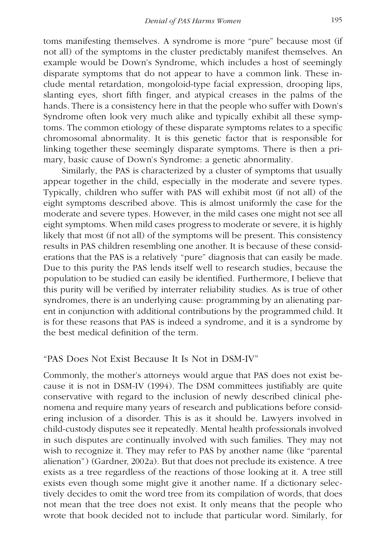toms manifesting themselves. A syndrome is more "pure" because most (if not all) of the symptoms in the cluster predictably manifest themselves. An example would be Down's Syndrome, which includes a host of seemingly disparate symptoms that do not appear to have a common link. These in clude mental retardation, mongoloid-type facial expression, drooping lips, slanting eyes, short fifth finger, and atypical creases in the palms of the hands. There is a consistency here in that the people who suffer with Down's Syndrome often look very much alike and typically exhibit all these symptoms. The common etiology of these disparate symptoms relates to a specific chromosomal abnormality. It is this genetic factor that is responsible for linking together these seemingly disparate symptoms. There is then a pri mary, basic cause of Down's Syndrome: a genetic abnormality.

Similarly, the PAS is characterized by a cluster of symptoms that usually appear together in the child, especially in the moderate and severe types. Typically, children who suffer with PAS will exhibit most (if not all) of the eight symptoms described above. This is almost uniformly the case for the moderate and severe types. However, in the mild cases one might not see all eight symptoms. When mild cases progress to moderate or severe, it is highly likely that most (if not all) of the symptoms will be present. This consistency results in PAS children resembling one another. It is because of these consid erations that the PAS is a relatively "pure" diagnosis that can easily be made. Due to this purity the PAS lends itself well to research studies, because the population to be studied can easily be identified. Furthermore, I believe that this purity will be verified by interrater reliability studies. As is true of other syndromes, there is an underlying cause: programming by an alienating par ent in conjunction with additional contributions by the programmed child. It is for these reasons that PAS is indeed a syndrome, and it is a syndrome by the best medical definition of the term.

### "PAS Does Not Exist Because It Is Not in DSM-IV"

Commonly, the mother's attorneys would argue that PAS does not exist be cause it is not in DSM-IV (1994). The DSM committees justifiably are quite conservative with regard to the inclusion of newly described clinical phe nomena and require many years of research and publications before consid ering inclusion of a disorder. This is as it should be. Lawyers involved in child-custody disputes see it repeatedly. Mental health professionals involved in such disputes are continually involved with such families. They may not wish to recognize it. They may refer to PAS by another name (like "parental alienation") (Gardner, 2002a). But that does not preclude its existence. A tree exists as a tree regardless of the reactions of those looking at it. A tree still exists even though some might give it another name. If a dictionary selectively decides to omit the word tree from its compilation of words, that does not mean that the tree does not exist. It only means that the people who wrote that book decided not to include that particular word. Similarly, for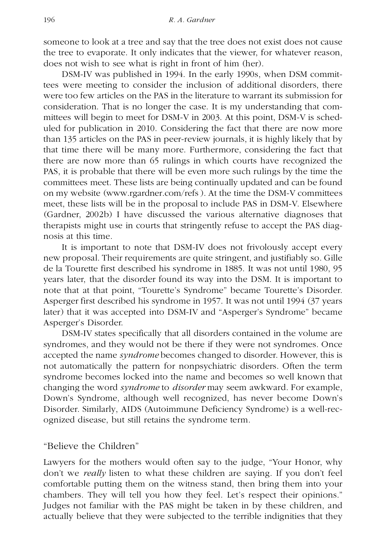someone to look at a tree and say that the tree does not exist does not cause the tree to evaporate. It only indicates that the viewer, for whatever reason, does not wish to see what is right in front of him (her).

DSM-IV was published in 1994. In the early 1990s, when DSM committees were meeting to consider the inclusion of additional disorders, there were too few articles on the PAS in the literature to warrant its submission for consideration. That is no longer the case. It is my understanding that com mittees will begin to meet for DSM-V in 2003. At this point, DSM-V is sched uled for publication in 2010. Considering the fact that there are now more than 135 articles on the PAS in peer-review journals, it is highly likely that by that time there will be many more. Furthermore, considering the fact that there are now more than 65 rulings in which courts have recognized the PAS, it is probable that there will be even more such rulings by the time the committees meet. These lists are being continually updated and can be found on my website (www.rgardner.com/refs ). At the time the DSM-V committees meet, these lists will be in the proposal to include PAS in DSM-V. Elsewhere (Gardner, 2002b) I have discussed the various alternative diagnoses that therapists might use in courts that stringently refuse to accept the PAS diag nosis at this time.

It is important to note that DSM-IV does not frivolously accept every new proposal. Their requirements are quite stringent, and justifiably so. Gille de la Tourette first described his syndrome in 1885. It was not until 1980, 95 years later, that the disorder found its way into the DSM. It is important to note that at that point, "Tourette's Syndrome" became Tourette's Disorder. Asperger first described his syndrome in 1957. It was not until 1994 (37 years later) that it was accepted into DSM-IV and "Asperger's Syndrome" became Asperger's Disorder.

DSM-IV states specifically that all disorders contained in the volume are syndromes, and they would not be there if they were not syndromes. Once accepted the name *syndrome* becomes changed to disorder. However, this is not automatically the pattern for nonpsychiatric disorders. Often the term syndrome becomes locked into the name and becomes so well known that changing the word *syndrome* to *disorder* may seem awkward. For example, Down's Syndrome, although well recognized, has never become Down's Disorder. Similarly, AIDS (Autoimmune Deficiency Syndrome) is a well-rec ognized disease, but still retains the syndrome term.

### "Believe the Children"

Lawyers for the mothers would often say to the judge, "Your Honor, why don't we *really* listen to what these children are saying. If you don't feel comfortable putting them on the witness stand, then bring them into your chambers. They will tell you how they feel. Let's respect their opinions." Judges not familiar with the PAS might be taken in by these children, and actually believe that they were subjected to the terrible indignities that they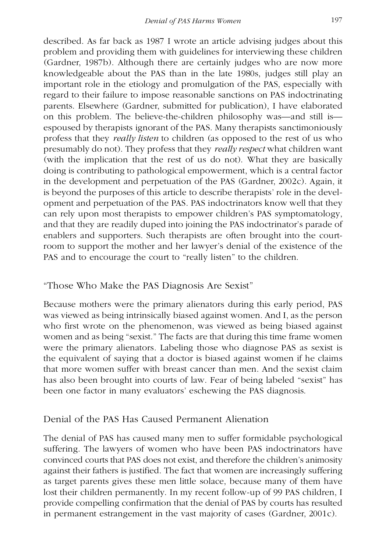described. As far back as 1987 I wrote an article advising judges about this problem and providing them with guidelines for interviewing these children (Gardner, 1987b). Although there are certainly judges who are now more knowledgeable about the PAS than in the late 1980s, judges still play an important role in the etiology and promulgation of the PAS, especially with regard to their failure to impose reasonable sanctions on PAS indoctrinating parents. Elsewhere (Gardner, submitted for publication), I have elaborated on this problem. The believe-the-children philosophy was—and still is espoused by therapists ignorant of the PAS. Many therapists sanctimoniously profess that they *really listen* to children (as opposed to the rest of us who presumably do not). They profess that they *really respect* what children want (with the implication that the rest of us do not). What they are basically doing is contributing to pathological empowerment, which is a central factor in the development and perpetuation of the PAS (Gardner, 2002c). Again, it is beyond the purposes of this article to describe therapists' role in the devel opment and perpetuation of the PAS. PAS indoctrinators know well that they can rely upon most therapists to empower children's PAS symptomatology, and that they are readily duped into joining the PAS indoctrinator's parade of enablers and supporters. Such therapists are often brought into the courtroom to support the mother and her lawyer's denial of the existence of the PAS and to encourage the court to "really listen" to the children.

# "Those Who Make the PAS Diagnosis Are Sexist"

Because mothers were the primary alienators during this early period, PAS was viewed as being intrinsically biased against women. And I, as the person who first wrote on the phenomenon, was viewed as being biased against women and as being "sexist." The facts are that during this time frame women were the primary alienators. Labeling those who diagnose PAS as sexist is the equivalent of saying that a doctor is biased against women if he claims that more women suffer with breast cancer than men. And the sexist claim has also been brought into courts of law. Fear of being labeled "sexist" has been one factor in many evaluators' eschewing the PAS diagnosis.

# Denial of the PAS Has Caused Permanent Alienation

The denial of PAS has caused many men to suffer formidable psychological suffering. The lawyers of women who have been PAS indoctrinators have convinced courts that PAS does not exist, and therefore the children's animosity against their fathers is justified. The fact that women are increasingly suffering as target parents gives these men little solace, because many of them have lost their children permanently. In my recent follow-up of 99 PAS children, I provide compelling confirmation that the denial of PAS by courts has resulted in permanent estrangement in the vast majority of cases (Gardner, 2001c).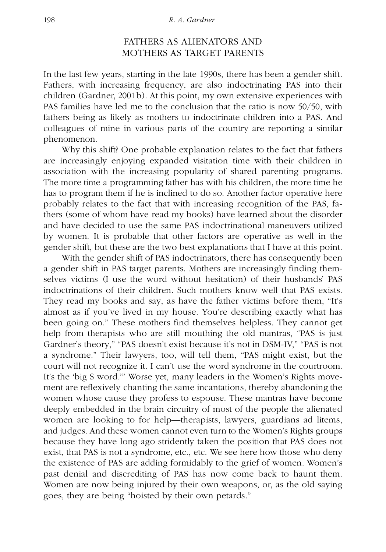# FATHERS AS ALIENATORS AND MOTHERS AS TARGET PARENTS

In the last few years, starting in the late 1990s, there has been a gender shift. Fathers, with increasing frequency, are also indoctrinating PAS into their children (Gardner, 2001b). At this point, my own extensive experiences with PAS families have led me to the conclusion that the ratio is now 50/50, with fathers being as likely as mothers to indoctrinate children into a PAS. And colleagues of mine in various parts of the country are reporting a similar phenomenon.

Why this shift? One probable explanation relates to the fact that fathers are increasingly enjoying expanded visitation time with their children in association with the increasing popularity of shared parenting programs. The more time a programming father has with his children, the more time he has to program them if he is inclined to do so. Another factor operative here probably relates to the fact that with increasing recognition of the PAS, fathers (some of whom have read my books) have learned about the disorder and have decided to use the same PAS indoctrinational maneuvers utilized by women. It is probable that other factors are operative as well in the gender shift, but these are the two best explanations that I have at this point.

With the gender shift of PAS indoctrinators, there has consequently been a gender shift in PAS target parents. Mothers are increasingly finding them selves victims (I use the word without hesitation) of their husbands' PAS indoctrinations of their children. Such mothers know well that PAS exists. They read my books and say, as have the father victims before them, "It's almost as if you've lived in my house. You're describing exactly what has been going on." These mothers find themselves helpless. They cannot get help from therapists who are still mouthing the old mantras, "PAS is just Gardner's theory," "PAS doesn't exist because it's not in DSM-IV," "PAS is not a syndrome." Their lawyers, too, will tell them, "PAS might exist, but the court will not recognize it. I can't use the word syndrome in the courtroom. It's the 'big S word.'" Worse yet, many leaders in the Women's Rights move ment are reflexively chanting the same incantations, thereby abandoning the women whose cause they profess to espouse. These mantras have become deeply embedded in the brain circuitry of most of the people the alienated women are looking to for help—therapists, lawyers, guardians ad litems, and judges. And these women cannot even turn to the Women's Rights groups because they have long ago stridently taken the position that PAS does not exist, that PAS is not a syndrome, etc., etc. We see here how those who deny the existence of PAS are adding formidably to the grief of women. Women's past denial and discrediting of PAS has now come back to haunt them. Women are now being injured by their own weapons, or, as the old saying goes, they are being "hoisted by their own petards."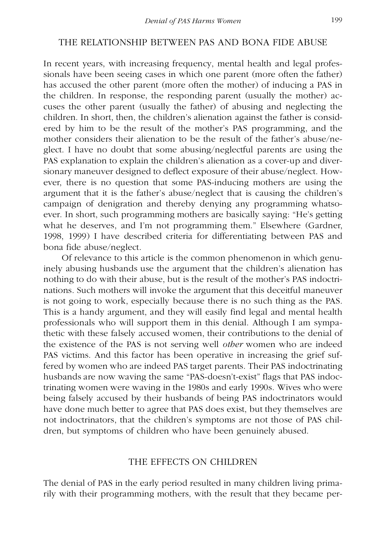### THE RELATIONSHIP BETWEEN PAS AND BONA FIDE ABUSE

In recent years, with increasing frequency, mental health and legal profes sionals have been seeing cases in which one parent (more often the father) has accused the other parent (more often the mother) of inducing a PAS in the children. In response, the responding parent (usually the mother) accuses the other parent (usually the father) of abusing and neglecting the children. In short, then, the children's alienation against the father is consid ered by him to be the result of the mother's PAS programming, and the mother considers their alienation to be the result of the father's abuse/ne glect. I have no doubt that some abusing/neglectful parents are using the PAS explanation to explain the children's alienation as a cover-up and diver sionary maneuver designed to deflect exposure of their abuse/neglect. How ever, there is no question that some PAS-inducing mothers are using the argument that it is the father's abuse/neglect that is causing the children's campaign of denigration and thereby denying any programming whatso ever. In short, such programming mothers are basically saying: "He's getting what he deserves, and I'm not programming them." Elsewhere (Gardner, 1998, 1999) I have described criteria for differentiating between PAS and bona fide abuse/neglect.

Of relevance to this article is the common phenomenon in which genuinely abusing husbands use the argument that the children's alienation has nothing to do with their abuse, but is the result of the mother's PAS indoctri nations. Such mothers will invoke the argument that this deceitful maneuver is not going to work, especially because there is no such thing as the PAS. This is a handy argument, and they will easily find legal and mental health professionals who will support them in this denial. Although I am sympathetic with these falsely accused women, their contributions to the denial of the existence of the PAS is not serving well *other* women who are indeed PAS victims. And this factor has been operative in increasing the grief suffered by women who are indeed PAS target parents. Their PAS indoctrinating husbands are now waving the same "PAS-doesn't-exist" flags that PAS indoctrinating women were waving in the 1980s and early 1990s. Wives who were being falsely accused by their husbands of being PAS indoctrinators would have done much better to agree that PAS does exist, but they themselves are not indoctrinators, that the children's symptoms are not those of PAS chil dren, but symptoms of children who have been genuinely abused.

#### THE EFFECTS ON CHILDREN

The denial of PAS in the early period resulted in many children living primarily with their programming mothers, with the result that they became per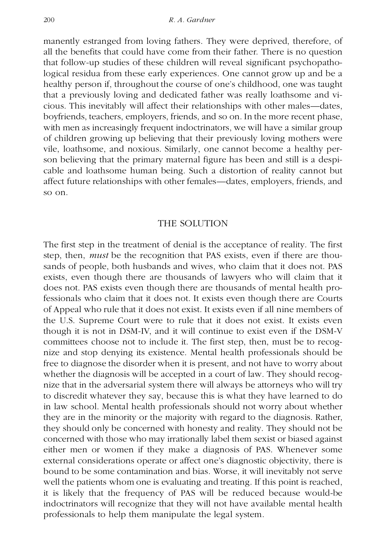manently estranged from loving fathers. They were deprived, therefore, of all the benefits that could have come from their father. There is no question that follow-up studies of these children will reveal significant psychopathological residua from these early experiences. One cannot grow up and be a healthy person if, throughout the course of one's childhood, one was taught that a previously loving and dedicated father was really loathsome and vi cious. This inevitably will affect their relationships with other males—dates, boyfriends, teachers, employers, friends, and so on. In the more recent phase, with men as increasingly frequent indoctrinators, we will have a similar group of children growing up believing that their previously loving mothers were vile, loathsome, and noxious. Similarly, one cannot become a healthy per son believing that the primary maternal figure has been and still is a despi cable and loathsome human being. Such a distortion of reality cannot but affect future relationships with other females—dates, employers, friends, and so on.

### THE SOLUTION

The first step in the treatment of denial is the acceptance of reality. The first step, then, *must* be the recognition that PAS exists, even if there are thou sands of people, both husbands and wives, who claim that it does not. PAS exists, even though there are thousands of lawyers who will claim that it does not. PAS exists even though there are thousands of mental health professionals who claim that it does not. It exists even though there are Courts of Appeal who rule that it does not exist. It exists even if all nine members of the U.S. Supreme Court were to rule that it does not exist. It exists even though it is not in DSM-IV, and it will continue to exist even if the DSM-V committees choose not to include it. The first step, then, must be to recog nize and stop denying its existence. Mental health professionals should be free to diagnose the disorder when it is present, and not have to worry about whether the diagnosis will be accepted in a court of law. They should recog nize that in the adversarial system there will always be attorneys who will try to discredit whatever they say, because this is what they have learned to do in law school. Mental health professionals should not worry about whether they are in the minority or the majority with regard to the diagnosis. Rather, they should only be concerned with honesty and reality. They should not be concerned with those who may irrationally label them sexist or biased against either men or women if they make a diagnosis of PAS. Whenever some external considerations operate or affect one's diagnostic objectivity, there is bound to be some contamination and bias. Worse, it will inevitably not serve well the patients whom one is evaluating and treating. If this point is reached, it is likely that the frequency of PAS will be reduced because would-be indoctrinators will recognize that they will not have available mental health professionals to help them manipulate the legal system.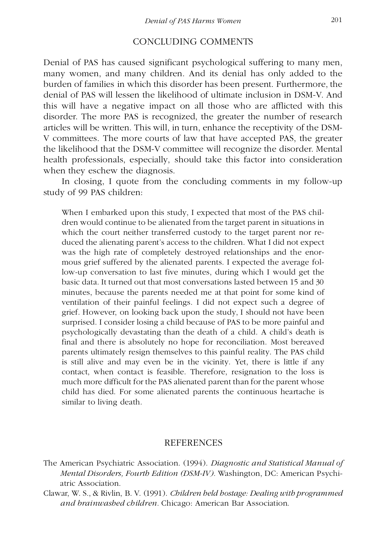### CONCLUDING COMMENTS

Denial of PAS has caused significant psychological suffering to many men, many women, and many children. And its denial has only added to the burden of families in which this disorder has been present. Furthermore, the denial of PAS will lessen the likelihood of ultimate inclusion in DSM-V. And this will have a negative impact on all those who are afflicted with this disorder. The more PAS is recognized, the greater the number of research articles will be written. This will, in turn, enhance the receptivity of the DSM- V committees. The more courts of law that have accepted PAS, the greater the likelihood that the DSM-V committee will recognize the disorder. Mental health professionals, especially, should take this factor into consideration when they eschew the diagnosis.

In closing, I quote from the concluding comments in my follow-up study of 99 PAS children:

When I embarked upon this study, I expected that most of the PAS chil dren would continue to be alienated from the target parent in situations in which the court neither transferred custody to the target parent nor re duced the alienating parent's access to the children. What I did not expect was the high rate of completely destroyed relationships and the enor mous grief suffered by the alienated parents. I expected the average follow-up conversation to last five minutes, during which I would get the basic data. It turned out that most conversations lasted between 15 and 30 minutes, because the parents needed me at that point for some kind of ventilation of their painful feelings. I did not expect such a degree of grief. However, on looking back upon the study, I should not have been surprised. I consider losing a child because of PAS to be more painful and psychologically devastating than the death of a child. A child's death is final and there is absolutely no hope for reconciliation. Most bereaved parents ultimately resign themselves to this painful reality. The PAS child is still alive and may even be in the vicinity. Yet, there is little if any contact, when contact is feasible. Therefore, resignation to the loss is much more difficult for the PAS alienated parent than for the parent whose child has died. For some alienated parents the continuous heartache is similar to living death.

#### **REFERENCES**

- The American Psychiatric Association. (1994). *Diagnostic and Statistical Manual of Mental Disorders, Fourth Edition (DSM-IV).* Washington, DC: American Psychi atric Association.
- Clawar, W. S., & Rivlin, B. V. (1991). *Children held hostage: Dealing with programmed and brainwashed children.* Chicago: American Bar Association.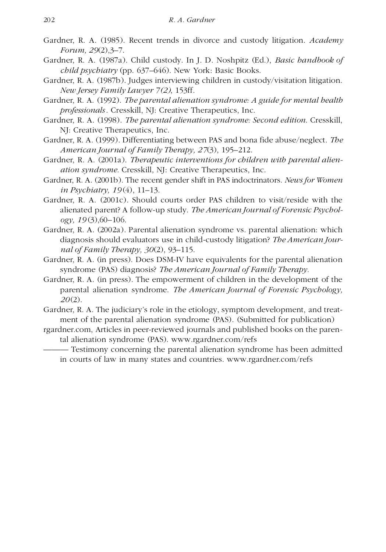- Gardner, R. A. (1985). Recent trends in divorce and custody litigation. *Academy Forum, 29*(2),3–7.
- Gardner, R. A. (1987a). Child custody. In J. D. Noshpitz (Ed.), *Basic handbook of child psychiatry* (pp. 637–646). New York: Basic Books.
- Gardner, R. A. (1987b). Judges interviewing children in custody/visitation litigation. *New Jersey Family Lawyer 7(2)*, 153ff.
- Gardner, R. A. (1992). *The parental alienation syndrome: A guide for mental health professionals* . Cresskill, NJ: Creative Therapeutics, Inc.
- Gardner, R. A. (1998). *The parental alienation syndrome: Second edition*. Cresskill, NJ: Creative Therapeutics, Inc.
- Gardner, R. A. (1999). Differentiating between PAS and bona fide abuse/neglect. *The American Journal of Family Therapy, 27*(3), 195–212.
- Gardner, R. A. (2001a). *Therapeutic interventions for children with parental alien ation syndrome.* Cresskill, NJ: Creative Therapeutics, Inc.
- Gardner, R. A. (2001b). The recent gender shift in PAS indoctrinators. *News for Women in Psychiatry, 19* (4), 11–13.
- Gardner, R. A. (2001c). Should courts order PAS children to visit/reside with the alienated parent? A follow-up study. *The American Journal of Forensic Psychol ogy, 19* (3),60–106.
- Gardner, R. A. (2002a). Parental alienation syndrome vs. parental alienation: which diagnosis should evaluators use in child-custody litigation? *The American Jour nal of Family Therapy, 30*(2), 93–115.
- Gardner, R. A. (in press). Does DSM-IV have equivalents for the parental alienation syndrome (PAS) diagnosis? *The American Journal of Family Therapy.*
- Gardner, R. A. (in press). The empowerment of children in the development of the parental alienation syndrome. *The American Journal of Forensic Psychology, 20* (2).
- Gardner, R. A. The judiciary's role in the etiology, symptom development, and treat ment of the parental alienation syndrome (PAS). (Submitted for publication)
- rgardner.com, Articles in peer-reviewed journals and published books on the parental alienation syndrome (PAS). www.rgardner.com/refs
	- ——— Testimony concerning the parental alienation syndrome has been admitted in courts of law in many states and countries. www.rgardner.com/refs